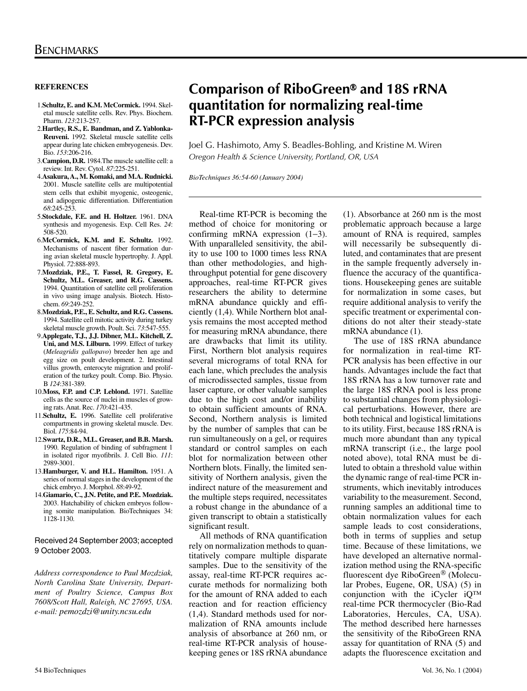### **REFERENCES**

- 1.**Schultz, E. and K.M. McCormick.** 1994. Skeletal muscle satellite cells. Rev. Phys. Biochem. Pharm. *123*:213-257.
- 2.**Hartley, R.S., E. Bandman, and Z. Yablonka-Reuveni.** 1992. Skeletal muscle satellite cells appear during late chicken embryogenesis. Dev. Bio. *153*:206-216.
- 3.**Campion, D.R.** 1984.The muscle satellite cell: a review. Int. Rev. Cytol. *87*:225-251.
- 4.**Asakura, A., M. Komaki, and M.A. Rudnicki.** 2001. Muscle satellite cells are multipotential stem cells that exhibit myogenic, osteogenic, and adipogenic differentiation. Differentiation *68*:245-253.
- 5.**Stockdale, F.E. and H. Holtzer.** 1961. DNA synthesis and myogenesis. Exp. Cell Res. *24*: 508-520.
- 6.**McCormick, K.M. and E. Schultz.** 1992. Mechanisms of nascent fiber formation during avian skeletal muscle hypertrophy. J. Appl. Physiol. *72*:888-893.
- 7.**Mozdziak, P.E., T. Fassel, R. Gregory, E. Schultz, M.L. Greaser, and R.G. Cassens.**  1994. Quantitation of satellite cell proliferation in vivo using image analysis. Biotech. Histochem. *69*:249-252.
- 8.**Mozdziak, P.E., E. Schultz, and R.G. Cassens.** 1994. Satellite cell mitotic activity during turkey skeletal muscle growth. Poult. Sci. *73*:547-555.
- 9.**Applegate, T.J., J.J. Dibner, M.L. Kitchell, Z. Uni, and M.S. Lilburn.** 1999. Effect of turkey (*Meleagridis gallopavo*) breeder hen age and egg size on poult development. 2. Intestinal villus growth, enterocyte migration and proliferation of the turkey poult. Comp. Bio. Physio. B *124*:381-389.
- 10.**Moss, F.P. and C.P. Leblond.** 1971. Satellite cells as the source of nuclei in muscles of growing rats. Anat. Rec. *170*:421-435.
- 11.**Schultz, E.** 1996. Satellite cell proliferative compartments in growing skeletal muscle. Dev. Biol. *175*:84-94.
- 12.**Swartz, D.R., M.L. Greaser, and B.B. Marsh.** 1990. Regulation of binding of subfragment 1 in isolated rigor myofibrils. J. Cell Bio. *111*: 2989-3001.
- 13.**Hamburger, V. and H.L. Hamilton.** 1951. A series of normal stages in the development of the chick embryo. J. Morphol. *88*:49-92.
- 14.**Giamario, C., J.N. Petite, and P.E. Mozdziak.** 2003. Hatchability of chicken embryos following somite manipulation. BioTechniques 34: 1128-1130.

#### Received 24 September 2003; accepted 9 October 2003.

*Address correspondence to Paul Mozdziak, North Carolina State University, Department of Poultry Science, Campus Box 7608/Scott Hall, Raleigh, NC 27695, USA. e-mail: pemozdzi@unity.ncsu.edu*

# **Comparison of RiboGreen® and 18S rRNA quantitation for normalizing real-time RT-PCR expression analysis**

Joel G. Hashimoto, Amy S. Beadles-Bohling, and Kristine M. Wiren *Oregon Health & Science University, Portland, OR, USA* 

*BioTechniques 36:54-60 (January 2004)*

Real-time RT-PCR is becoming the method of choice for monitoring or confirming mRNA expression (1−3). With unparalleled sensitivity, the ability to use 100 to 1000 times less RNA than other methodologies, and highthroughput potential for gene discovery approaches, real-time RT-PCR gives researchers the ability to determine mRNA abundance quickly and efficiently (1,4). While Northern blot analysis remains the most accepted method for measuring mRNA abundance, there are drawbacks that limit its utility. First, Northern blot analysis requires several micrograms of total RNA for each lane, which precludes the analysis of microdissected samples, tissue from laser capture, or other valuable samples due to the high cost and/or inability to obtain sufficient amounts of RNA. Second, Northern analysis is limited by the number of samples that can be run simultaneously on a gel, or requires standard or control samples on each blot for normalization between other Northern blots. Finally, the limited sensitivity of Northern analysis, given the indirect nature of the measurement and the multiple steps required, necessitates a robust change in the abundance of a given transcript to obtain a statistically significant result.

All methods of RNA quantification rely on normalization methods to quantitatively compare multiple disparate samples. Due to the sensitivity of the assay, real-time RT-PCR requires accurate methods for normalizing both for the amount of RNA added to each reaction and for reaction efficiency (1,4). Standard methods used for normalization of RNA amounts include analysis of absorbance at 260 nm, or real-time RT-PCR analysis of housekeeping genes or 18S rRNA abundance (1). Absorbance at 260 nm is the most problematic approach because a large amount of RNA is required, samples will necessarily be subsequently diluted, and contaminates that are present in the sample frequently adversely influence the accuracy of the quantifications. Housekeeping genes are suitable for normalization in some cases, but require additional analysis to verify the specific treatment or experimental conditions do not alter their steady-state mRNA abundance (1).

The use of 18S rRNA abundance for normalization in real-time RT-PCR analysis has been effective in our hands. Advantages include the fact that 18S rRNA has a low turnover rate and the large 18S rRNA pool is less prone to substantial changes from physiological perturbations. However, there are both technical and logistical limitations to its utility. First, because 18S rRNA is much more abundant than any typical mRNA transcript (i.e., the large pool noted above), total RNA must be diluted to obtain a threshold value within the dynamic range of real-time PCR instruments, which inevitably introduces variability to the measurement. Second, running samples an additional time to obtain normalization values for each sample leads to cost considerations, both in terms of supplies and setup time. Because of these limitations, we have developed an alternative normalization method using the RNA-specific fluorescent dye RiboGreen<sup>®</sup> (Molecular Probes, Eugene, OR, USA) (5) in conjunction with the iCycler iQ™ real-time PCR thermocycler (Bio-Rad Laboratories, Hercules, CA, USA). The method described here harnesses the sensitivity of the RiboGreen RNA assay for quantitation of RNA (5) and adapts the fluorescence excitation and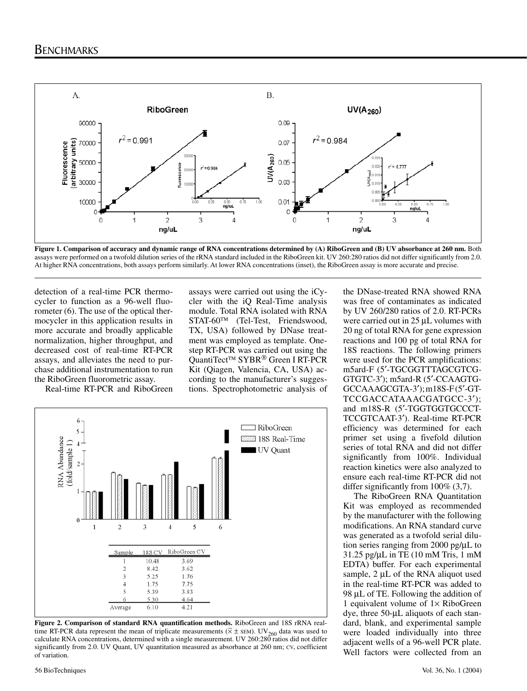

**Figure 1. Comparison of accuracy and dynamic range of RNA concentrations determined by (A) RiboGreen and (B) UV absorbance at 260 nm.** Both assays were performed on a twofold dilution series of the rRNA standard included in the RiboGreen kit. UV 260:280 ratios did not differ significantly from 2.0. At higher RNA concentrations, both assays perform similarly. At lower RNA concentrations (inset), the RiboGreen assay is more accurate and precise.

detection of a real-time PCR thermocycler to function as a 96-well fluorometer (6). The use of the optical thermocycler in this application results in more accurate and broadly applicable normalization, higher throughput, and decreased cost of real-time RT-PCR assays, and alleviates the need to purchase additional instrumentation to run the RiboGreen fluorometric assay.

Real-time RT-PCR and RiboGreen

assays were carried out using the iCycler with the iQ Real-Time analysis module. Total RNA isolated with RNA STAT-60TM (Tel-Test, Friendswood, TX, USA) followed by DNase treatment was employed as template. Onestep RT-PCR was carried out using the QuantiTect<sup>™</sup> SYBR<sup>®</sup> Green I RT-PCR Kit (Qiagen, Valencia, CA, USA) according to the manufacturer's suggestions. Spectrophotometric analysis of



**Figure 2. Comparison of standard RNA quantification methods.** RiboGreen and 18S rRNA realtime RT-PCR data represent the mean of triplicate measurements ( $\overline{x}$  ± SEM). UV<sub>260</sub> data was used to calculate RNA concentrations, determined with a single measurement. UV 260:280 ratios did not differ significantly from 2.0. UV Quant, UV quantitation measured as absorbance at 260 nm; cv, coefficient of variation.

the DNase-treated RNA showed RNA was free of contaminates as indicated by UV 260/280 ratios of 2.0. RT-PCRs were carried out in 25 µL volumes with 20 ng of total RNA for gene expression reactions and 100 pg of total RNA for 18S reactions. The following primers were used for the PCR amplifications: m5ard-F (5′-TGCGGTTTAGCGTCG-GTGTC-3′); m5ard-R (5′-CCAAGTG-GCCAAAGCGTA-3′); m18S-F (5′-GT-TCCGACCATAAACGATGCC-3′); and m18S-R (5′-TGGTGGTGCCCT-TCCGTCAAT-3′). Real-time RT-PCR efficiency was determined for each primer set using a fivefold dilution series of total RNA and did not differ significantly from 100%. Individual reaction kinetics were also analyzed to ensure each real-time RT-PCR did not differ significantly from 100% (3,7).

The RiboGreen RNA Quantitation Kit was employed as recommended by the manufacturer with the following modifications. An RNA standard curve was generated as a twofold serial dilution series ranging from 2000 pg/µL to 31.25 pg/µL in TE (10 mM Tris, 1 mM EDTA) buffer. For each experimental sample, 2 µL of the RNA aliquot used in the real-time RT-PCR was added to 98 µL of TE. Following the addition of 1 equivalent volume of  $1 \times$  RiboGreen dye, three 50-µL aliquots of each standard, blank, and experimental sample were loaded individually into three adjacent wells of a 96-well PCR plate. Well factors were collected from an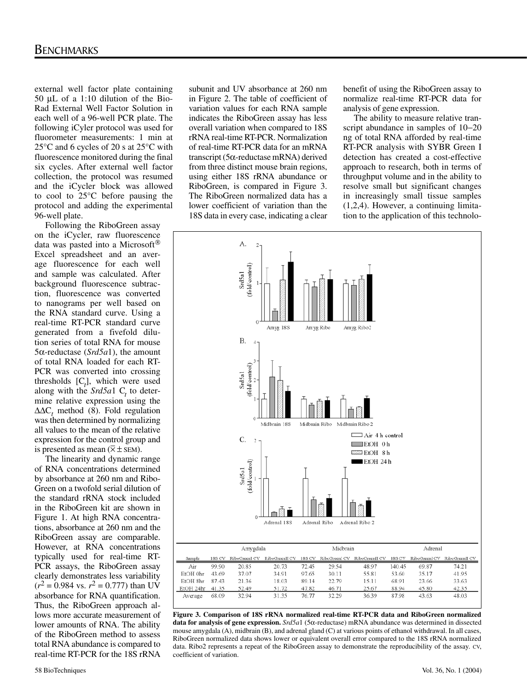external well factor plate containing 50 µL of a 1:10 dilution of the Bio-Rad External Well Factor Solution in each well of a 96-well PCR plate. The following iCyler protocol was used for fluorometer measurements: 1 min at 25°C and 6 cycles of 20 s at 25°C with fluorescence monitored during the final six cycles. After external well factor collection, the protocol was resumed and the iCycler block was allowed to cool to 25°C before pausing the protocol and adding the experimental 96-well plate.

Following the RiboGreen assay on the iCycler, raw fluorescence data was pasted into a Microsoft Excel spreadsheet and an average fluorescence for each well and sample was calculated. After background fluorescence subtraction, fluorescence was converted to nanograms per well based on the RNA standard curve. Using a real-time RT-PCR standard curve generated from a fivefold dilution series of total RNA for mouse 5α-reductase (*Srd5a*1), the amount of total RNA loaded for each RT-PCR was converted into crossing thresholds  $[C_t]$ , which were used along with the  $Srd5a1$  C<sub>t</sub> to determine relative expression using the ∆∆C*<sup>t</sup>* method (8). Fold regulation was then determined by normalizing all values to the mean of the relative expression for the control group and \_ is presented as mean  $(\overline{\times} \pm \text{SEM})$ .

The linearity and dynamic range of RNA concentrations determined by absorbance at 260 nm and Ribo-Green on a twofold serial dilution of the standard rRNA stock included in the RiboGreen kit are shown in Figure 1. At high RNA concentrations, absorbance at 260 nm and the RiboGreen assay are comparable. However, at RNA concentrations typically used for real-time RT-PCR assays, the RiboGreen assay clearly demonstrates less variability  $(r^2 = 0.984$  vs.  $r^2 = 0.777$ ) than UV absorbance for RNA quantification. Thus, the RiboGreen approach allows more accurate measurement of lower amounts of RNA. The ability of the RiboGreen method to assess total RNA abundance is compared to real-time RT-PCR for the 18S rRNA

subunit and UV absorbance at 260 nm in Figure 2. The table of coefficient of variation values for each RNA sample indicates the RiboGreen assay has less overall variation when compared to 18S rRNA real-time RT-PCR. Normalization of real-time RT-PCR data for an mRNA transcript (5α-reductase mRNA) derived from three distinct mouse brain regions, using either 18S rRNA abundance or RiboGreen, is compared in Figure 3. The RiboGreen normalized data has a lower coefficient of variation than the 18S data in every case, indicating a clear benefit of using the RiboGreen assay to normalize real-time RT-PCR data for analysis of gene expression.

The ability to measure relative transcript abundance in samples of 10−20 ng of total RNA afforded by real-time RT-PCR analysis with SYBR Green I detection has created a cost-effective approach to research, both in terms of throughput volume and in the ability to resolve small but significant changes in increasingly small tissue samples (1,2,4). However, a continuing limitation to the application of this technolo-



**Figure 3. Comparison of 18S rRNA normalized real-time RT-PCR data and RiboGreen normalized data for analysis of gene expression.** *Srd5a*1 (5α-reductase) mRNA abundance was determined in dissected mouse amygdala (A), midbrain (B), and adrenal gland (C) at various points of ethanol withdrawal. In all cases, RiboGreen normalized data shows lower or equivalent overall error compared to the 18S rRNA normalized data. Ribo2 represents a repeat of the RiboGreen assay to demonstrate the reproducibility of the assay. CV, coefficient of variation.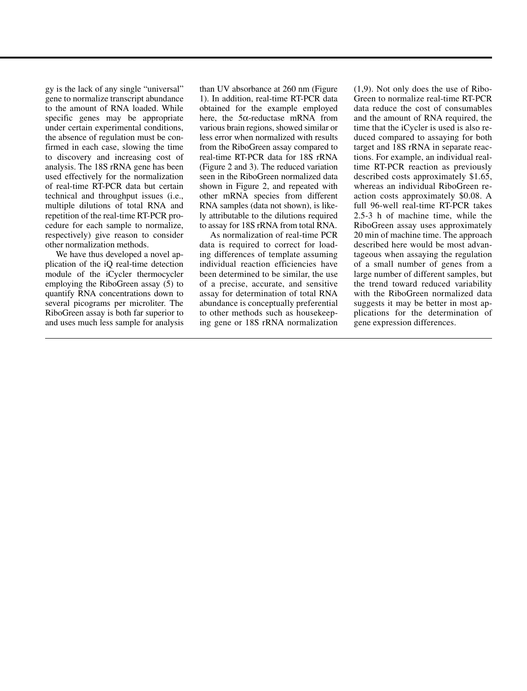gy is the lack of any single "universal" gene to normalize transcript abundance to the amount of RNA loaded. While specific genes may be appropriate under certain experimental conditions, the absence of regulation must be confirmed in each case, slowing the time to discovery and increasing cost of analysis. The 18S rRNA gene has been used effectively for the normalization of real-time RT-PCR data but certain technical and throughput issues (i.e., multiple dilutions of total RNA and repetition of the real-time RT-PCR procedure for each sample to normalize, respectively) give reason to consider other normalization methods.

We have thus developed a novel application of the iQ real-time detection module of the iCycler thermocycler employing the RiboGreen assay (5) to quantify RNA concentrations down to several picograms per microliter. The RiboGreen assay is both far superior to and uses much less sample for analysis

than UV absorbance at 260 nm (Figure 1). In addition, real-time RT-PCR data obtained for the example employed here, the 5α-reductase mRNA from various brain regions, showed similar or less error when normalized with results from the RiboGreen assay compared to real-time RT-PCR data for 18S rRNA (Figure 2 and 3). The reduced variation seen in the RiboGreen normalized data shown in Figure 2, and repeated with other mRNA species from different RNA samples (data not shown), is likely attributable to the dilutions required to assay for 18S rRNA from total RNA.

As normalization of real-time PCR data is required to correct for loading differences of template assuming individual reaction efficiencies have been determined to be similar, the use of a precise, accurate, and sensitive assay for determination of total RNA abundance is conceptually preferential to other methods such as housekeeping gene or 18S rRNA normalization

(1,9). Not only does the use of Ribo-Green to normalize real-time RT-PCR data reduce the cost of consumables and the amount of RNA required, the time that the iCycler is used is also reduced compared to assaying for both target and 18S rRNA in separate reactions. For example, an individual realtime RT-PCR reaction as previously described costs approximately \$1.65, whereas an individual RiboGreen reaction costs approximately \$0.08. A full 96-well real-time RT-PCR takes 2.5-3 h of machine time, while the RiboGreen assay uses approximately 20 min of machine time. The approach described here would be most advantageous when assaying the regulation of a small number of genes from a large number of different samples, but the trend toward reduced variability with the RiboGreen normalized data suggests it may be better in most applications for the determination of gene expression differences.